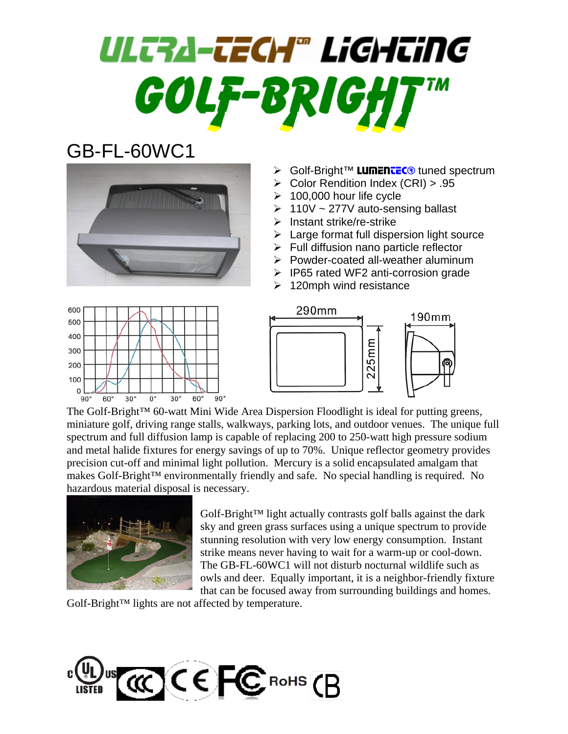# ULTRA-TECH® LiGHTiNG GOLF-BRIGH

### GB-FL-60WC1



- ≻ Golf-Bright™ LumenteC<sup>®</sup> tuned spectrum
- ¾ Color Rendition Index (CRI) > .95
- $\geq 100,000$  hour life cycle
- $\geq 110V \sim 277V$  auto-sensing ballast
- ¾ Instant strike/re-strike
- $\blacktriangleright$  Large format full dispersion light source
- $\triangleright$  Full diffusion nano particle reflector
- ¾ Powder-coated all-weather aluminum
- ¾ IP65 rated WF2 anti-corrosion grade
- $\geq 120$ mph wind resistance





The Golf-Bright<sup>™</sup> 60-watt Mini Wide Area Dispersion Floodlight is ideal for putting greens, miniature golf, driving range stalls, walkways, parking lots, and outdoor venues. The unique full spectrum and full diffusion lamp is capable of replacing 200 to 250-watt high pressure sodium and metal halide fixtures for energy savings of up to 70%. Unique reflector geometry provides precision cut-off and minimal light pollution. Mercury is a solid encapsulated amalgam that makes Golf-Bright™ environmentally friendly and safe. No special handling is required. No hazardous material disposal is necessary.



Golf-Bright™ light actually contrasts golf balls against the dark sky and green grass surfaces using a unique spectrum to provide stunning resolution with very low energy consumption. Instant strike means never having to wait for a warm-up or cool-down. The GB-FL-60WC1 will not disturb nocturnal wildlife such as owls and deer. Equally important, it is a neighbor-friendly fixture that can be focused away from surrounding buildings and homes.

Golf-Bright™ lights are not affected by temperature.